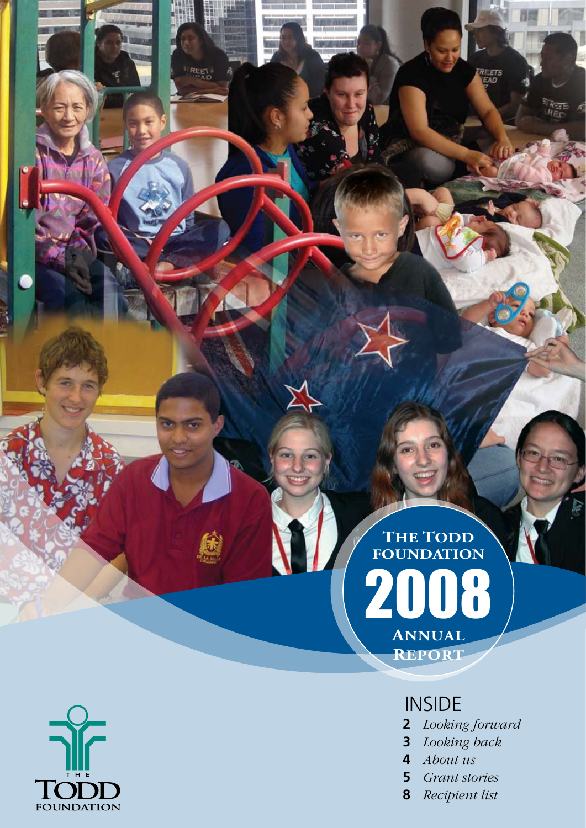2008 **Annual Report The Todd Foundation**

## **INSIDE**

**2** *Looking forward*

**REETS** 

- **3** *Looking back*
- **4** *About us*
- **5** *Grant stories*
- **8** *Recipient list*



REET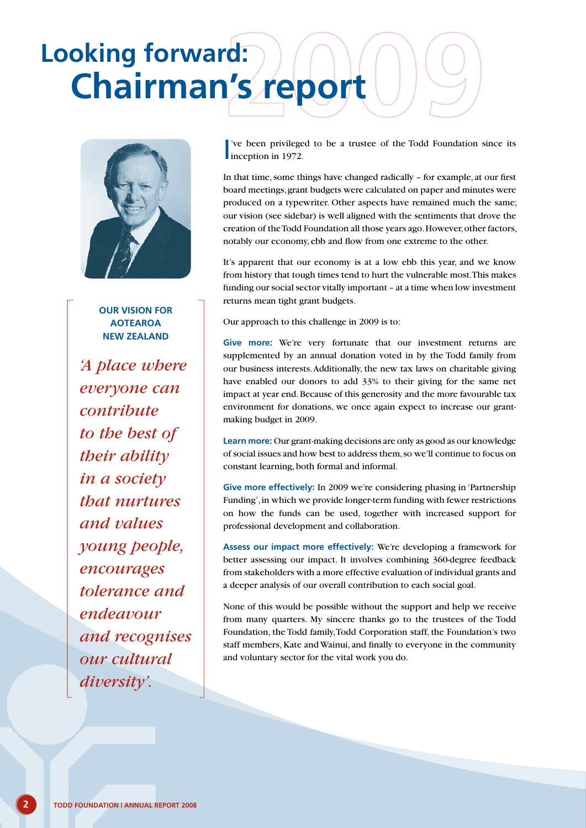## **Chairman's report Looking forward:**



**Our vision for Aotearoa New Zealand** 

*'A place where everyone can contribute to the best of their ability in a society that nurtures and values young people, encourages tolerance and endeavour and recognises our cultural diversity'.*

I've been privilege<br>inception in 1972. 've been privileged to be a trustee of the Todd Foundation since its

In that time, some things have changed radically – for example, at our first board meetings, grant budgets were calculated on paper and minutes were produced on a typewriter. Other aspects have remained much the same; our vision (see sidebar) is well aligned with the sentiments that drove the creation of the Todd Foundation all those years ago. However, other factors, notably our economy, ebb and flow from one extreme to the other.

It's apparent that our economy is at a low ebb this year, and we know from history that tough times tend to hurt the vulnerable most. This makes funding our social sector vitally important – at a time when low investment returns mean tight grant budgets.

Our approach to this challenge in 2009 is to:

Give more: We're very fortunate that our investment returns are supplemented by an annual donation voted in by the Todd family from our business interests. Additionally, the new tax laws on charitable giving have enabled our donors to add 33% to their giving for the same net impact at year end. Because of this generosity and the more favourable tax environment for donations, we once again expect to increase our grantmaking budget in 2009.

**Learn more:** Our grant-making decisions are only as good as our knowledge of social issues and how best to address them, so we'll continue to focus on constant learning, both formal and informal.

**Give more effectively:** In 2009 we're considering phasing in 'Partnership Funding', in which we provide longer-term funding with fewer restrictions on how the funds can be used, together with increased support for professional development and collaboration.

**Assess our impact more effectively:** We're developing a framework for better assessing our impact. It involves combining 360-degree feedback from stakeholders with a more effective evaluation of individual grants and a deeper analysis of our overall contribution to each social goal.

None of this would be possible without the support and help we receive from many quarters. My sincere thanks go to the trustees of the Todd Foundation, the Todd family, Todd Corporation staff, the Foundation's two staff members, Kate and Wainui, and finally to everyone in the community and voluntary sector for the vital work you do.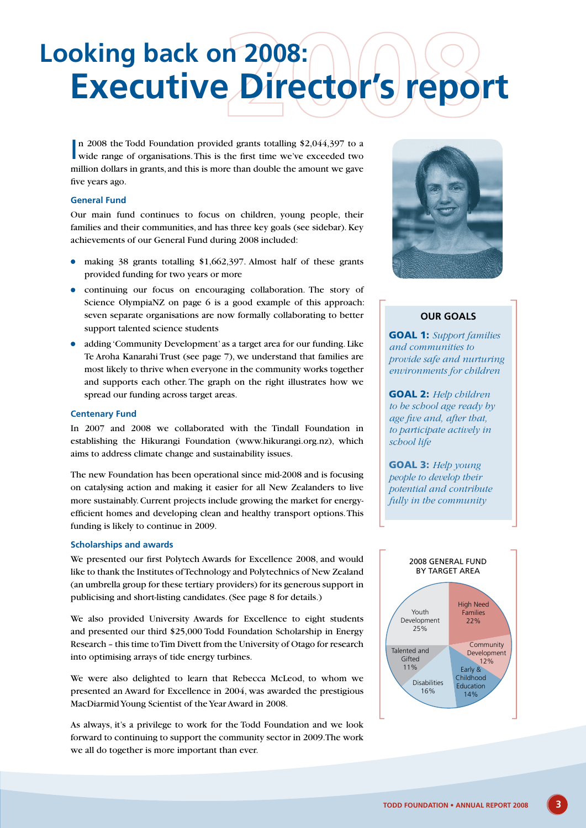# **Executive Director's report Looking back on 2008:**

In 2008 the Todd Foundation provided grants totalling \$2,044,397 to a wide range of organisations. This is the first time we've exceeded two n 2008 the Todd Foundation provided grants totalling \$2,044,397 to a million dollars in grants, and this is more than double the amount we gave five years ago.

#### **General Fund**

Our main fund continues to focus on children, young people, their families and their communities, and has three key goals (see sidebar). Key achievements of our General Fund during 2008 included:

- making 38 grants totalling \$1,662,397. Almost half of these grants provided funding for two years or more
- continuing our focus on encouraging collaboration. The story of Science OlympiaNZ on page 6 is a good example of this approach: seven separate organisations are now formally collaborating to better support talented science students
- adding 'Community Development' as a target area for our funding. Like Te Aroha Kanarahi Trust (see page 7), we understand that families are most likely to thrive when everyone in the community works together and supports each other. The graph on the right illustrates how we spread our funding across target areas.

#### **Centenary Fund**

In 2007 and 2008 we collaborated with the Tindall Foundation in establishing the Hikurangi Foundation (www.hikurangi.org.nz), which aims to address climate change and sustainability issues.

The new Foundation has been operational since mid-2008 and is focusing on catalysing action and making it easier for all New Zealanders to live more sustainably.Current projects include growing the market for energyefficient homes and developing clean and healthy transport options. This funding is likely to continue in 2009.

#### **Scholarships and awards**

We presented our first Polytech Awards for Excellence 2008, and would like to thank the Institutes of Technology and Polytechnics of New Zealand (an umbrella group for these tertiary providers) for its generous support in publicising and short-listing candidates. (See page 8 for details.)

We also provided University Awards for Excellence to eight students and presented our third \$25,000 Todd Foundation Scholarship in Energy Research – this time to Tim Divett from the University of Otago for research into optimising arrays of tide energy turbines.

We were also delighted to learn that Rebecca McLeod, to whom we presented an Award for Excellence in 2004, was awarded the prestigious MacDiarmid Young Scientist of the Year Award in 2008.

As always, it's a privilege to work for the Todd Foundation and we look forward to continuing to support the community sector in 2009. The work we all do together is more important than ever.



### **Our Goals**

**GOAL 1:** *Support families and communities to provide safe and nurturing environments for children*

**GOAL 2:** *Help children to be school age ready by age five and, after that, to participate actively in school life*

Goal 3: *Help young people to develop their potential and contribute fully in the community*

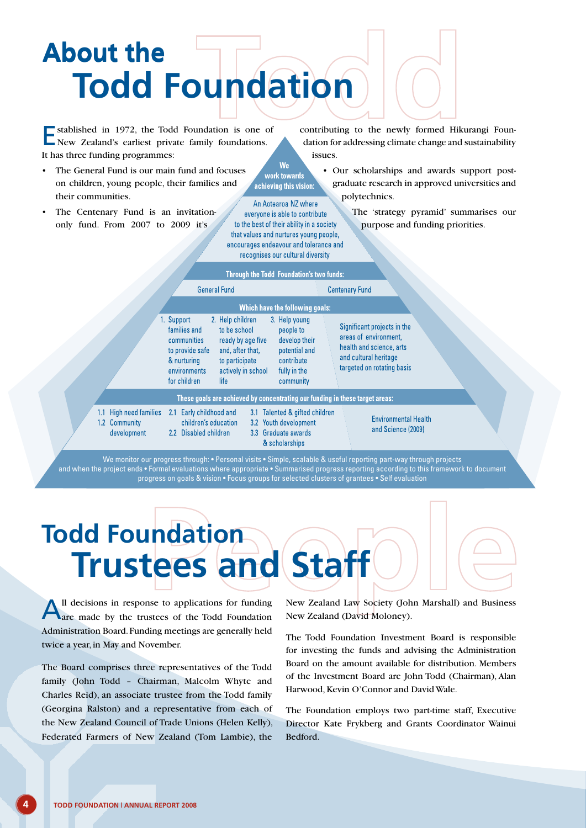## **Todd Foundation About the About the**

Established in 1972, the Todd Foundation is one of New Zealand's earliest private family foundations. It has three funding programmes:

- The General Fund is our main fund and focuses on children, young people, their families and their communities.
- The Centenary Fund is an invitationonly fund. From 2007 to 2009 it's

 $11$  $1.2$  contributing to the newly formed Hikurangi Foundation for addressing climate change and sustainability issues.

> • Our scholarships and awards support postgraduate research in approved universities and polytechnics.

> > The 'strategy pyramid' summarises our purpose and funding priorities.

|                                                | THIUGH GIV TUGAL FUGHMANUM 3 (WU TUHUS,                                                                                                                                                                                                                                                                                                             |                                                                                                                                         |
|------------------------------------------------|-----------------------------------------------------------------------------------------------------------------------------------------------------------------------------------------------------------------------------------------------------------------------------------------------------------------------------------------------------|-----------------------------------------------------------------------------------------------------------------------------------------|
|                                                | <b>General Fund</b>                                                                                                                                                                                                                                                                                                                                 | <b>Centenary Fund</b>                                                                                                                   |
|                                                | Which have the following goals:                                                                                                                                                                                                                                                                                                                     |                                                                                                                                         |
|                                                | 1. Support<br>2. Help children<br>3. Help young<br>families and<br>to be school<br>people to<br>ready by age five<br>develop their<br>communities<br>potential and<br>to provide safe<br>and, after that,<br>& nurturing<br>to participate<br>contribute<br>environments<br>actively in school<br>fully in the<br>community<br>for children<br>life | Significant projects in the<br>areas of environment.<br>health and science, arts<br>and cultural heritage<br>targeted on rotating basis |
|                                                | These goals are achieved by concentrating our funding in these target areas:                                                                                                                                                                                                                                                                        |                                                                                                                                         |
| High need families<br>Community<br>development | Early childhood and<br>3.1 Talented & gifted children<br>2.1<br>children's education<br>3.2 Youth development<br>3.3 Graduate awards<br>2.2 Disabled children<br>& scholarships                                                                                                                                                                     | <b>Environmental Health</b><br>and Science (2009)                                                                                       |

We work towards achieving this vision: An Aotearoa NZ where everyone is able to contribute to the best of their ability in a society that values and nurtures young people, encourages endeavour and tolerance and recognises our cultural diversity the Todd Foundation's two fi

We monitor our progress through: • Personal visits • Simple, scalable & useful reporting part-way through projects and when the project ends • Formal evaluations where appropriate • Summarised progress reporting according to this framework to document progress on goals & vision • Focus groups for selected clusters of grantees • Self evaluation

## **Trustees and Staff Todd Foundation**

All decisions in response to applications for funding are made by the trustees of the Todd Foundation Administration Board. Funding meetings are generally held twice a year, in May and November.

The Board comprises three representatives of the Todd family (John Todd – Chairman, Malcolm Whyte and Charles Reid), an associate trustee from the Todd family (Georgina Ralston) and a representative from each of the New Zealand Council of Trade Unions (Helen Kelly), Federated Farmers of New Zealand (Tom Lambie), the New Zealand Law Society (John Marshall) and Business New Zealand (David Moloney).

The Todd Foundation Investment Board is responsible for investing the funds and advising the Administration Board on the amount available for distribution. Members of the Investment Board are John Todd (Chairman), Alan Harwood, Kevin O'Connor and David Wale.

The Foundation employs two part-time staff, Executive Director Kate Frykberg and Grants Coordinator Wainui Bedford.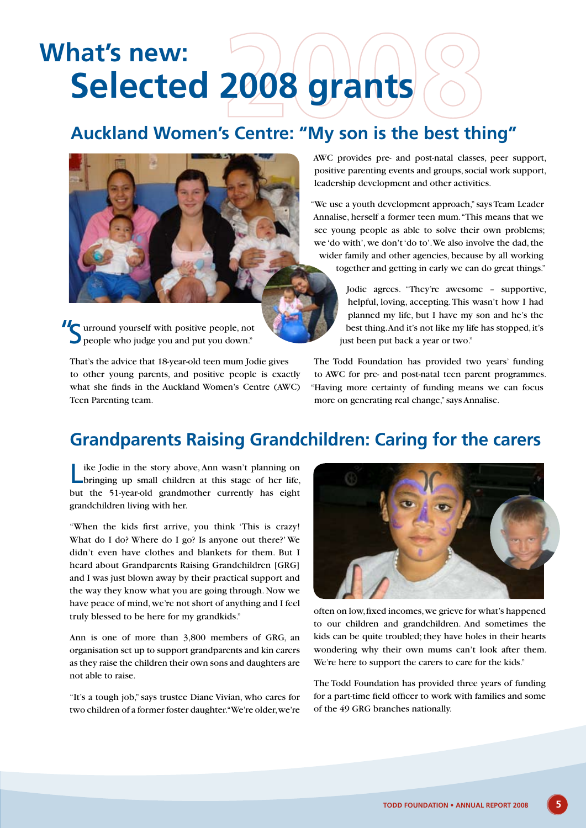## **Selected 2008 grants What's new:**

### **Auckland Women's Centre: "My son is the best thing"**



**Surround yourself with positive people, not** people who judge you and put you down." people who judge you and put you down."

That's the advice that 18-year-old teen mum Jodie gives to other young parents, and positive people is exactly what she finds in the Auckland Women's Centre (AWC) Teen Parenting team.

AWC provides pre- and post-natal classes, peer support, positive parenting events and groups, social work support, leadership development and other activities.

"We use a youth development approach," says Team Leader Annalise, herself a former teen mum. "This means that we see young people as able to solve their own problems; we 'do with', we don't 'do to'. We also involve the dad, the wider family and other agencies, because by all working together and getting in early we can do great things."

> Jodie agrees. "They're awesome – supportive, helpful, loving, accepting. This wasn't how I had planned my life, but I have my son and he's the best thing. And it's not like my life has stopped, it's just been put back a year or two."

The Todd Foundation has provided two years' funding to AWC for pre- and post-natal teen parent programmes. "Having more certainty of funding means we can focus more on generating real change," says Annalise.

### **Grandparents Raising Grandchildren: Caring for the carers**

Like Jodie in the story above, Ann wasn't planning on bringing up small children at this stage of her life, but the 51-year-old grandmother currently has eight grandchildren living with her.

"When the kids first arrive, you think 'This is crazy! What do I do? Where do I go? Is anyone out there?' We didn't even have clothes and blankets for them. But I heard about Grandparents Raising Grandchildren [GRG] and I was just blown away by their practical support and the way they know what you are going through. Now we have peace of mind, we're not short of anything and I feel truly blessed to be here for my grandkids."

Ann is one of more than 3,800 members of GRG, an organisation set up to support grandparents and kin carers as they raise the children their own sons and daughters are not able to raise.

"It's a tough job," says trustee Diane Vivian, who cares for two children of a former foster daughter. "We're older, we're



often on low, fixed incomes, we grieve for what's happened to our children and grandchildren. And sometimes the kids can be quite troubled; they have holes in their hearts wondering why their own mums can't look after them. We're here to support the carers to care for the kids."

The Todd Foundation has provided three years of funding for a part-time field officer to work with families and some of the 49 GRG branches nationally.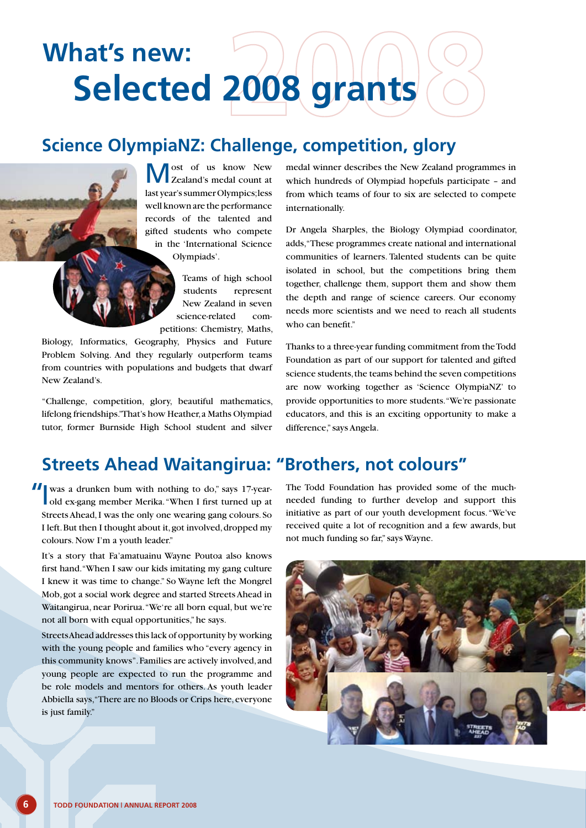## **Selected 2008 grants What's new:**

### **Science OlympiaNZ: Challenge, competition, glory**

ost of us know New Zealand's medal count at last year's summer Olympics; less well known are the performance records of the talented and gifted students who compete in the 'International Science Olympiads'.

> Teams of high school students represent New Zealand in seven science-related competitions: Chemistry, Maths,

Biology, Informatics, Geography, Physics and Future Problem Solving. And they regularly outperform teams from countries with populations and budgets that dwarf New Zealand's.

"Challenge, competition, glory, beautiful mathematics, lifelong friendships." That's how Heather, a Maths Olympiad tutor, former Burnside High School student and silver medal winner describes the New Zealand programmes in which hundreds of Olympiad hopefuls participate – and from which teams of four to six are selected to compete internationally.

Dr Angela Sharples, the Biology Olympiad coordinator, adds, "These programmes create national and international communities of learners. Talented students can be quite isolated in school, but the competitions bring them together, challenge them, support them and show them the depth and range of science careers. Our economy needs more scientists and we need to reach all students who can benefit."

Thanks to a three-year funding commitment from the Todd Foundation as part of our support for talented and gifted science students, the teams behind the seven competitions are now working together as 'Science OlympiaNZ' to provide opportunities to more students. "We're passionate educators, and this is an exciting opportunity to make a difference," says Angela.

### **Streets Ahead Waitangirua: "Brothers, not colours"**

old ex-gang member Merika. "When I first turned up at Streets Ahead, I was the only one wearing gang colours. So I left. But then I thought about it, got involved, dropped my colours. Now I'm a youth leader."

It's a story that Fa'amatuainu Wayne Poutoa also knows first hand. "When I saw our kids imitating my gang culture I knew it was time to change." So Wayne left the Mongrel Mob, got a social work degree and started Streets Ahead in Waitangirua, near Porirua. "We're all born equal, but we're not all born with equal opportunities," he says.

Streets Ahead addresses this lack of opportunity by working with the young people and families who "every agency in this community knows". Families are actively involved, and young people are expected to run the programme and be role models and mentors for others. As youth leader Abbiella says, "There are no Bloods or Crips here, everyone is just family."

II was a drunken bum with nothing to do," says 17-year-<br>
The Todd Foundation has provided some of the much-<br>
old ex-gang member Merika. "When I first turned up at a needed funding to further develop and support this needed funding to further develop and support this initiative as part of our youth development focus. "We've received quite a lot of recognition and a few awards, but not much funding so far," says Wayne.

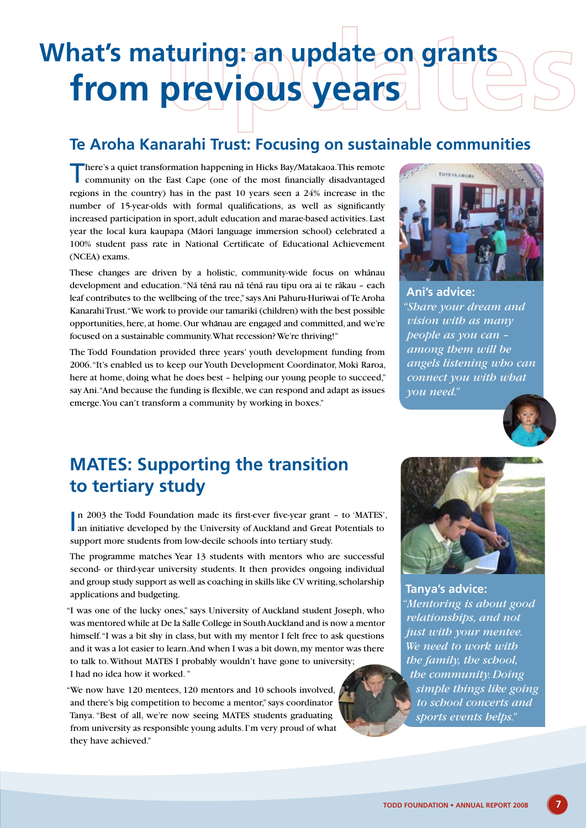## **from previous years What's maturing: an update on grants**

### **Te Aroha Kanarahi Trust: Focusing on sustainable communities**

There's a quiet transformation happening in Hicks Bay/Matakaoa. This remote community on the East Cape (one of the most financially disadvantaged regions in the country) has in the past 10 years seen a 24% increase in the number of 15-year-olds with formal qualifications, as well as significantly increased participation in sport, adult education and marae-based activities. Last year the local kura kaupapa (Māori language immersion school) celebrated a 100% student pass rate in National Certificate of Educational Achievement (NCEA) exams.

These changes are driven by a holistic, community-wide focus on whanau development and education. "Nā tēnā rau nā tēnā rau tipu ora ai te rākau - each leaf contributes to the wellbeing of the tree," says Ani Pahuru-Huriwai of Te Aroha Kanarahi Trust. "We work to provide our tamariki (children) with the best possible opportunities, here, at home. Our whanau are engaged and committed, and we're focused on a sustainable community. What recession? We're thriving!"

The Todd Foundation provided three years' youth development funding from 2006. "It's enabled us to keep our Youth Development Coordinator, Moki Raroa, here at home, doing what he does best – helping our young people to succeed," say Ani. "And because the funding is flexible, we can respond and adapt as issues emerge. You can't transform a community by working in boxes."



**Ani's advice:**  *"Share your dream and vision with as many people as you can – among them will be angels listening who can connect you with what you need."*



### **MATES: Supporting the transition to tertiary study**

n 2003 the Todd Foundation made its first-ever five-year grant - to 'MATES' an initiative developed by the University of Auckland and Great Potentials to n 2003 the Todd Foundation made its first-ever five-year grant – to 'MATES', support more students from low-decile schools into tertiary study.

The programme matches Year 13 students with mentors who are successful second- or third-year university students. It then provides ongoing individual and group study support as well as coaching in skills like CV writing, scholarship applications and budgeting.

"I was one of the lucky ones," says University of Auckland student Joseph, who was mentored while at De la Salle College in South Auckland and is now a mentor himself. "I was a bit shy in class, but with my mentor I felt free to ask questions and it was a lot easier to learn. And when I was a bit down, my mentor was there to talk to. Without MATES I probably wouldn't have gone to university; I had no idea how it worked. "

"We now have 120 mentees, 120 mentors and 10 schools involved, and there's big competition to become a mentor," says coordinator Tanya. "Best of all, we're now seeing MATES students graduating from university as responsible young adults. I'm very proud of what they have achieved."



**Tanya's advice:**  *"Mentoring is about good relationships, and not just with your mentee. We need to work with the family, the school, the community. Doing simple things like going to school concerts and sports events helps."*